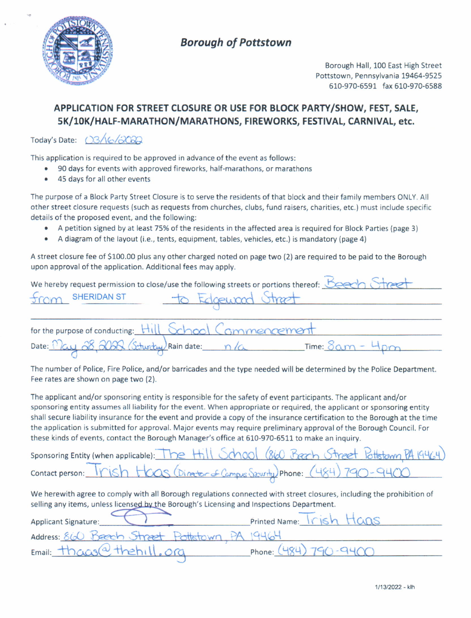

# **Borough of Pottstown**

Borough Hall, 100 East High Street Pottstown, Pennsylvania 19464-9525 610-970-6591 fax610-970-6588

### APPLICATION FOR STREET CLOSURE OR USE FOR BLOCK PARTY/SHOW, FEST, SALE, 5K/10K/HALF-MARATHON/MARATHONS, FIREWORKS, FESTIVAL, CARNIVAL, etc.

Today's Date:  $(33/6/30)$ 

This application is required to be approved in advance of the event as follows:

- 90 days for events with approved fireworks, half-marathons, or marathons
- . 45 days for all other events

The purpose of a Block Party Street Closure is to serve the residents of that block and their family members ONLY. All other street closure requests (such as requests from churches, clubs, fund raisers, charities, etc.) must include specific details of the proposed event, and the following:

- . A petition signed by at least 75% ofthe residents in the affected area is required for Block Parties (page 3)
- A diagram of the layout (i.e., tents, equipment, tables, vehicles, etc.) is mandatory (page 4)

A street closure fee of 5100.00 plus any other charged noted on page two (2) are required to be paid to the Borough upon approval of the application. Additional fees may apply.

|                                              | We hereby request permission to close/use the following streets or portions thereof: Beech |  |
|----------------------------------------------|--------------------------------------------------------------------------------------------|--|
| from SHERIDAN ST                             | to Edgewood Street                                                                         |  |
|                                              |                                                                                            |  |
|                                              | for the purpose of conducting: Hill School Commencement                                    |  |
| Date: May 28, 2020 (Schurchy) Rain date: n/a | $Time: 8am - 4nm$                                                                          |  |

The number of Police, Fire Police, and/or barricades and the type needed will be determined by the Police Department. Fee rates are shown on page two (2).

The applicant and/or sponsoring entity is responsible for the safety of event participants. The applicant and/or sponsoring entity assumes all liability for the event. When appropriate or required, the applicant or sponsoring entity shall secure liability insurance for the event and provide a copy of the insurance certification to the Borough at the time the application is submitted tor approval. Major events may require preliminary approval of the Borough Council. For these kinds of events, contact the Borough Manager's office at 610-970-5511 to make an inquiry.

| sponsoring Entity (when applicable): The Hill School (860 Beach Street Pottstown PA 19464) |
|--------------------------------------------------------------------------------------------|
| contact person: Trish Hcas (Director of Campus Security) Phone: (484) 790-9400             |

We herewith agree to comply with all Borough regulations connected with street closures, including the prohibition of selling any items, unless licensed by the Borough's Licensing and Inspections Department.

| Applicant Signature:                | Printed Name: Trish Hans  |
|-------------------------------------|---------------------------|
| Address: 860 Beech Street Pottstown |                           |
| Email: though the hill. org         | Phone: $(484) 790 - 9400$ |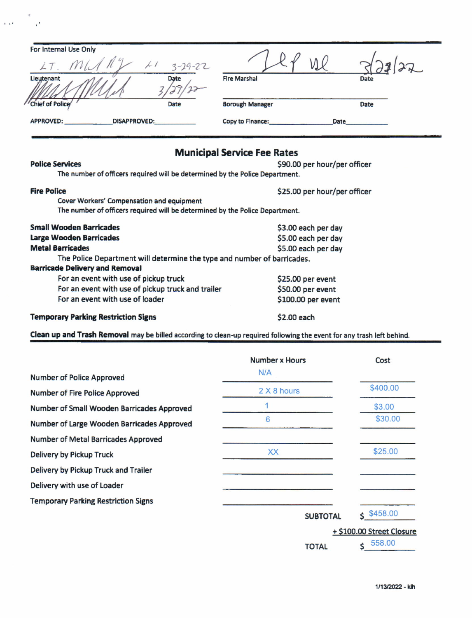| For Internal Use Only                   |               |                        |             |
|-----------------------------------------|---------------|------------------------|-------------|
|                                         | $3 - 29 - 22$ | $\sqrt{}$              |             |
| Lieutenant                              | <b>Date</b>   | <b>Fire Marshal</b>    | <b>Date</b> |
| / Chief of Police                       | Date          | <b>Borough Manager</b> | Date        |
| <b>APPROVED:</b><br><b>DISAPPROVED:</b> |               | Copy to Finance:       | <b>Date</b> |

## **Municipal Service Fee Rates**

 $\epsilon$ 

 $\sim$ 

 $\epsilon$  .  $\epsilon$ 

| <b>Police Services</b>                                                       | \$90.00 per hour/per officer |
|------------------------------------------------------------------------------|------------------------------|
| The number of officers required will be determined by the Police Department. |                              |
| <b>Fire Police</b>                                                           | \$25.00 per hour/per officer |
| Cover Workers' Compensation and equipment                                    |                              |
| The number of officers required will be determined by the Police Department. |                              |
| <b>Small Wooden Barricades</b>                                               | \$3.00 each per day          |
| <b>Large Wooden Barricades</b>                                               | \$5.00 each per day          |
| <b>Metal Barricades</b>                                                      | \$5.00 each per day          |
| The Police Department will determine the type and number of barricades.      |                              |
| <b>Barricade Delivery and Removal</b>                                        |                              |
| For an event with use of pickup truck                                        | \$25.00 per event            |
| For an event with use of pickup truck and trailer                            | \$50.00 per event            |
| For an event with use of loader                                              | \$100.00 per event           |
| <b>Temporary Parking Restriction Signs</b>                                   | \$2.00 each                  |

Clean up and Trash Removal may be billed according to clean-up required following the event for any trash left behind.

|                                            | Number x Hours  | Cost                      |
|--------------------------------------------|-----------------|---------------------------|
| Number of Police Approved                  | N/A             |                           |
| Number of Fire Police Approved             | 2 X 8 hours     | \$400.00                  |
| Number of Small Wooden Barricades Approved |                 | \$3.00                    |
| Number of Large Wooden Barricades Approved | 6               | \$30.00                   |
| Number of Metal Barricades Approved        |                 |                           |
| Delivery by Pickup Truck                   | XX              | \$25.00                   |
| Delivery by Pickup Truck and Trailer       |                 |                           |
| Delivery with use of Loader                |                 |                           |
| <b>Temporary Parking Restriction Signs</b> |                 |                           |
|                                            | <b>SUBTOTAL</b> | \$458.00                  |
|                                            |                 | + \$100.00 Street Closure |
|                                            | <b>TOTAL</b>    | 558.00                    |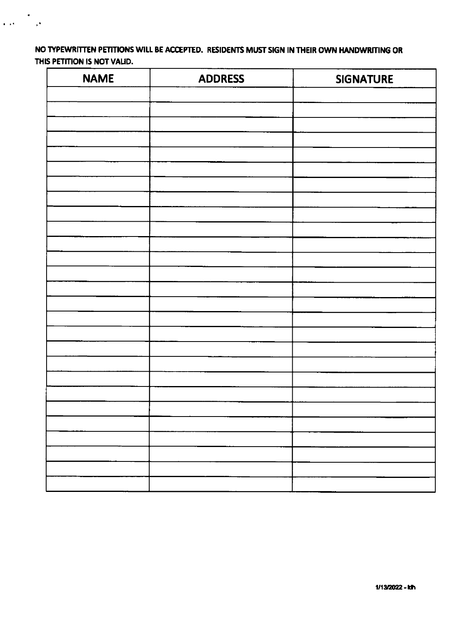NO TYPEWRITTEN PETITIONS WILL BE ACCEPTED. RESIDENTS MUST SIGN IN THEIR OWN HANDWRITING OR THIS PETITION IS NOT VALID.

 $\frac{1}{\sqrt{2\pi}}\sum_{i=1}^N\frac{1}{\sqrt{2\pi}}\left(\frac{1}{\sqrt{2\pi}}\right)^2$ 

| <b>NAME</b> | <b>ADDRESS</b> | <b>SIGNATURE</b> |
|-------------|----------------|------------------|
|             |                |                  |
|             |                |                  |
|             |                |                  |
|             |                |                  |
|             |                |                  |
|             |                |                  |
|             |                |                  |
|             |                |                  |
|             |                |                  |
|             |                |                  |
|             |                |                  |
|             |                |                  |
|             |                |                  |
|             |                |                  |
|             |                |                  |
|             |                |                  |
|             |                |                  |
|             |                |                  |
|             |                |                  |
|             |                |                  |
|             |                |                  |
|             |                |                  |
|             |                |                  |
|             |                |                  |
|             |                |                  |
|             |                |                  |
|             |                |                  |